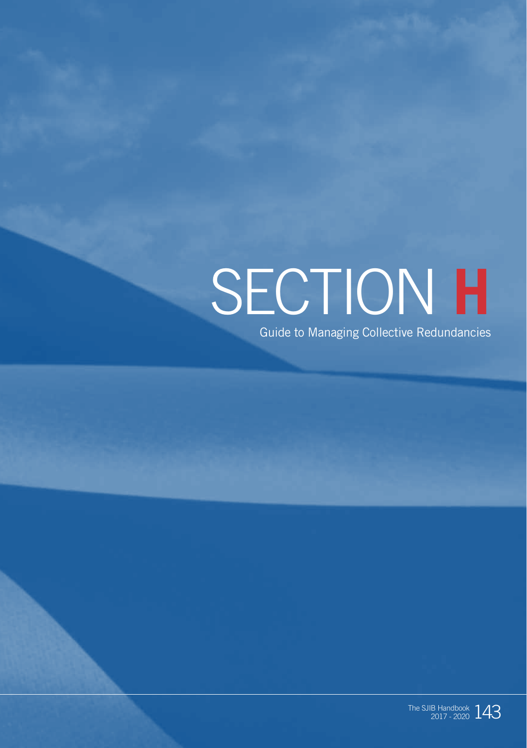# SECTION **H**

Guide to Managing Collective Redundancies

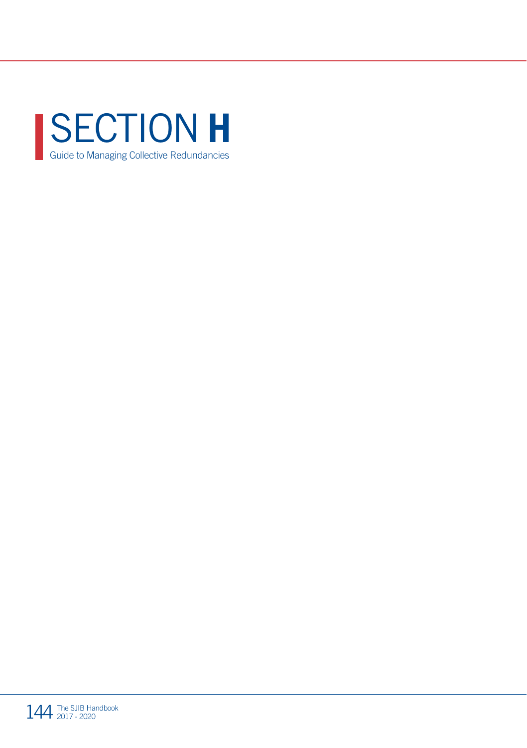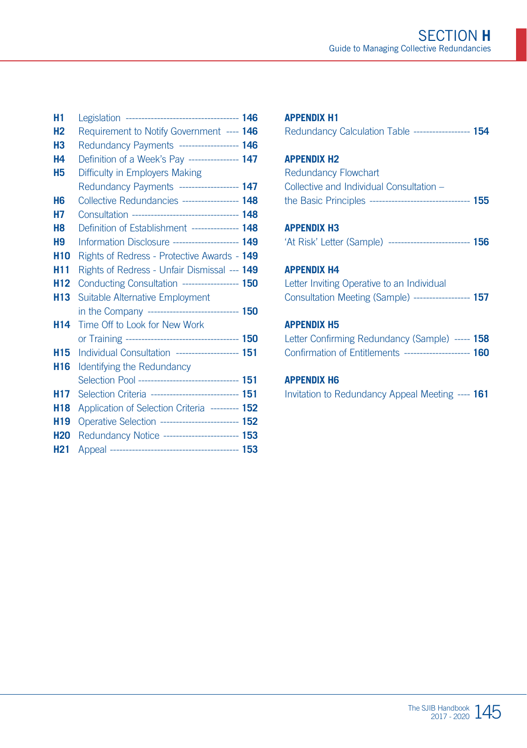| H <sub>1</sub>  |                                                     |  |
|-----------------|-----------------------------------------------------|--|
| H <sub>2</sub>  | Requirement to Notify Government ---- 146           |  |
| Н3              | Redundancy Payments ------------------- 146         |  |
| <b>H4</b>       | Definition of a Week's Pay ---------------- 147     |  |
| <b>H5</b>       | Difficulty in Employers Making                      |  |
|                 | Redundancy Payments ------------------ 147          |  |
| H <sub>6</sub>  | Collective Redundancies ------------------ 148      |  |
| Н7              | Consultation ---------------------------------- 148 |  |
| H <sub>8</sub>  | Definition of Establishment --------------- 148     |  |
| H <sub>9</sub>  | Information Disclosure --------------------- 149    |  |
| H <sub>10</sub> | Rights of Redress - Protective Awards - 149         |  |
| H <sub>11</sub> | Rights of Redress - Unfair Dismissal --- 149        |  |
| H <sub>12</sub> | Conducting Consultation ------------------ 150      |  |
| H <sub>13</sub> | Suitable Alternative Employment                     |  |
|                 | in the Company ------------------------------ 150   |  |
| H <sub>14</sub> | Time Off to Look for New Work                       |  |
|                 |                                                     |  |
| H <sub>15</sub> | Individual Consultation -------------------- 151    |  |
| H <sub>16</sub> | <b>Identifying the Redundancy</b>                   |  |
|                 | Selection Pool -------------------------------- 151 |  |
| H17             | Selection Criteria ---------------------------- 151 |  |
| <b>H18</b>      | Application of Selection Criteria --------- 152     |  |
| H <sub>19</sub> | Operative Selection -------------------------- 152  |  |
| <b>H20</b>      | Redundancy Notice ------------------------ 153      |  |
| H <sub>21</sub> |                                                     |  |

#### **APPENDIX H1** Redundancy Calculation Table ------------------ **154 APPENDIX H2** Redundancy Flowchart Collective and Individual Consultation – the Basic Principles -------------------------------- **155 APPENDIX H3** 'At Risk' Letter (Sample) -------------------------- **156 APPENDIX H4** Letter Inviting Operative to an Individual Consultation Meeting (Sample) ------------------ **157**

#### **APPENDIX H5**

| Letter Confirming Redundancy (Sample) ----- 158 |        |
|-------------------------------------------------|--------|
| <b>Confirmation of Entitlements</b>             | $-160$ |

#### **APPENDIX H6**

Invitation to Redundancy Appeal Meeting ---- **161**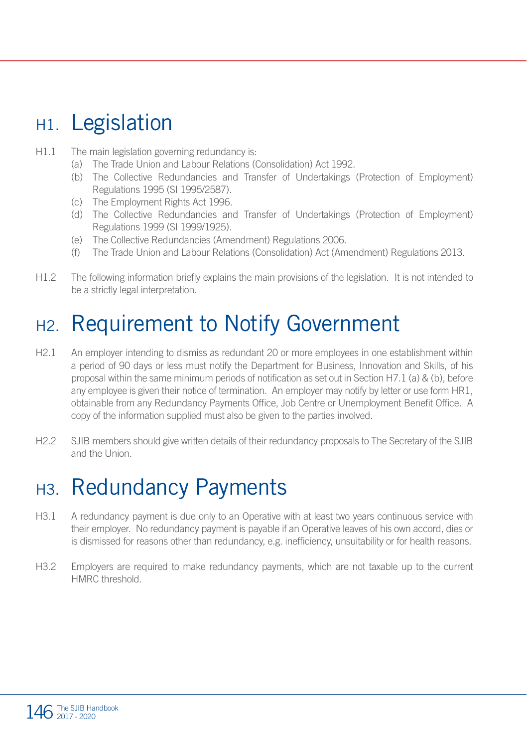#### H<sub>1</sub>. Legislation

- H1.1 The main legislation governing redundancy is:
	- (a) The Trade Union and Labour Relations (Consolidation) Act 1992.
	- (b) The Collective Redundancies and Transfer of Undertakings (Protection of Employment) Regulations 1995 (SI 1995/2587).
	- (c) The Employment Rights Act 1996.
	- (d) The Collective Redundancies and Transfer of Undertakings (Protection of Employment) Regulations 1999 (SI 1999/1925).
	- (e) The Collective Redundancies (Amendment) Regulations 2006.
	- (f) The Trade Union and Labour Relations (Consolidation) Act (Amendment) Regulations 2013.
- H1.2 The following information briefly explains the main provisions of the legislation. It is not intended to be a strictly legal interpretation.

### H2. Requirement to Notify Government

- H2.1 An employer intending to dismiss as redundant 20 or more employees in one establishment within a period of 90 days or less must notify the Department for Business, Innovation and Skills, of his proposal within the same minimum periods of notification as set out in Section H7.1 (a) & (b), before any employee is given their notice of termination. An employer may notify by letter or use form HR1, obtainable from any Redundancy Payments Office, Job Centre or Unemployment Benefit Office. A copy of the information supplied must also be given to the parties involved.
- H2.2 SJIB members should give written details of their redundancy proposals to The Secretary of the SJIB and the Union.

### H3. Redundancy Payments

- H3.1 A redundancy payment is due only to an Operative with at least two years continuous service with their employer. No redundancy payment is payable if an Operative leaves of his own accord, dies or is dismissed for reasons other than redundancy, e.g. inefficiency, unsuitability or for health reasons.
- H3.2 Employers are required to make redundancy payments, which are not taxable up to the current HMRC threshold.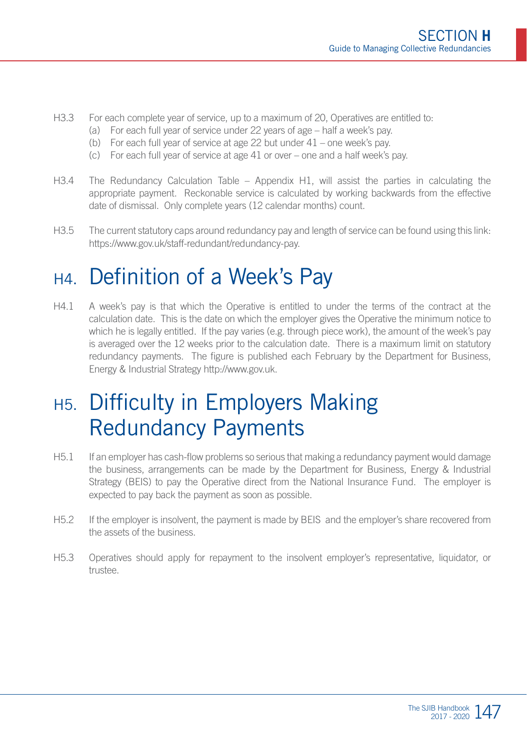- H3.3 For each complete year of service, up to a maximum of 20, Operatives are entitled to:
	- (a) For each full year of service under 22 years of age half a week's pay.
	- (b) For each full year of service at age 22 but under 41 one week's pay.
	- (c) For each full year of service at age 41 or over one and a half week's pay.
- H3.4 The Redundancy Calculation Table Appendix H1, will assist the parties in calculating the appropriate payment. Reckonable service is calculated by working backwards from the effective date of dismissal. Only complete years (12 calendar months) count.
- H3.5 The current statutory caps around redundancy pay and length of service can be found using this link: https://www.gov.uk/staff-redundant/redundancy-pay.

#### H4. Definition of a Week's Pay

H4.1 A week's pay is that which the Operative is entitled to under the terms of the contract at the calculation date. This is the date on which the employer gives the Operative the minimum notice to which he is legally entitled. If the pay varies (e.g. through piece work), the amount of the week's pay is averaged over the 12 weeks prior to the calculation date. There is a maximum limit on statutory redundancy payments. The figure is published each February by the Department for Business, Energy & Industrial Strategy http://www.gov.uk.

### H5. Difficulty in Employers Making Redundancy Payments

- H5.1 If an employer has cash-flow problems so serious that making a redundancy payment would damage the business, arrangements can be made by the Department for Business, Energy & Industrial Strategy (BEIS) to pay the Operative direct from the National Insurance Fund. The employer is expected to pay back the payment as soon as possible.
- H5.2 If the employer is insolvent, the payment is made by BEIS and the employer's share recovered from the assets of the business.
- H5.3 Operatives should apply for repayment to the insolvent employer's representative, liquidator, or trustee.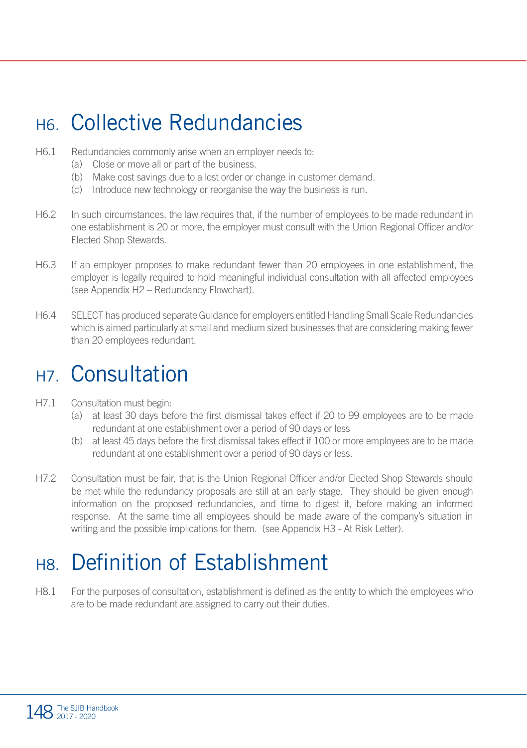### H6. Collective Redundancies

- H6.1 Redundancies commonly arise when an employer needs to:
	- (a) Close or move all or part of the business.
	- (b) Make cost savings due to a lost order or change in customer demand.
	- (c) Introduce new technology or reorganise the way the business is run.
- H6.2 In such circumstances, the law requires that, if the number of employees to be made redundant in one establishment is 20 or more, the employer must consult with the Union Regional Officer and/or Elected Shop Stewards.
- H6.3 If an employer proposes to make redundant fewer than 20 employees in one establishment, the employer is legally required to hold meaningful individual consultation with all affected employees (see Appendix H2 – Redundancy Flowchart).
- H6.4 SELECT has produced separate Guidance for employers entitled Handling Small Scale Redundancies which is aimed particularly at small and medium sized businesses that are considering making fewer than 20 employees redundant.

#### H7. Consultation

- H7.1 Consultation must begin:
	- (a) at least 30 days before the first dismissal takes effect if 20 to 99 employees are to be made redundant at one establishment over a period of 90 days or less
	- (b) at least 45 days before the first dismissal takes effect if 100 or more employees are to be made redundant at one establishment over a period of 90 days or less.
- H7.2 Consultation must be fair, that is the Union Regional Officer and/or Elected Shop Stewards should be met while the redundancy proposals are still at an early stage. They should be given enough information on the proposed redundancies, and time to digest it, before making an informed response. At the same time all employees should be made aware of the company's situation in writing and the possible implications for them. (see Appendix H3 - At Risk Letter).

### H8. Definition of Establishment

H8.1 For the purposes of consultation, establishment is defined as the entity to which the employees who are to be made redundant are assigned to carry out their duties.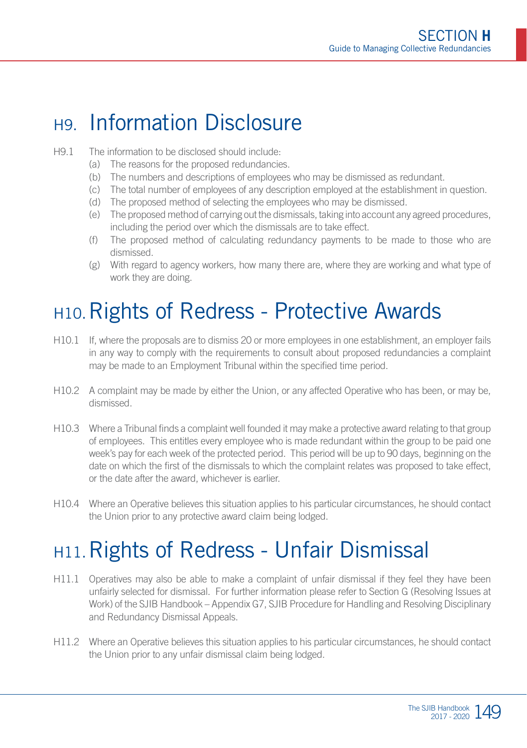#### H9. Information Disclosure

#### H9.1 The information to be disclosed should include:

- (a) The reasons for the proposed redundancies.
- (b) The numbers and descriptions of employees who may be dismissed as redundant.
- (c) The total number of employees of any description employed at the establishment in question.
- (d) The proposed method of selecting the employees who may be dismissed.
- (e) The proposed method of carrying out the dismissals, taking into account any agreed procedures, including the period over which the dismissals are to take effect.
- (f) The proposed method of calculating redundancy payments to be made to those who are dismissed.
- (g) With regard to agency workers, how many there are, where they are working and what type of work they are doing.

### H10. Rights of Redress - Protective Awards

- H10.1 If, where the proposals are to dismiss 20 or more employees in one establishment, an employer fails in any way to comply with the requirements to consult about proposed redundancies a complaint may be made to an Employment Tribunal within the specified time period.
- H10.2 A complaint may be made by either the Union, or any affected Operative who has been, or may be, dismissed.
- H10.3 Where a Tribunal finds a complaint well founded it may make a protective award relating to that group of employees. This entitles every employee who is made redundant within the group to be paid one week's pay for each week of the protected period. This period will be up to 90 days, beginning on the date on which the first of the dismissals to which the complaint relates was proposed to take effect, or the date after the award, whichever is earlier.
- H10.4 Where an Operative believes this situation applies to his particular circumstances, he should contact the Union prior to any protective award claim being lodged.

### H11.Rights of Redress - Unfair Dismissal

- H11.1 Operatives may also be able to make a complaint of unfair dismissal if they feel they have been unfairly selected for dismissal. For further information please refer to Section G (Resolving Issues at Work) of the SJIB Handbook – Appendix G7, SJIB Procedure for Handling and Resolving Disciplinary and Redundancy Dismissal Appeals.
- H11.2 Where an Operative believes this situation applies to his particular circumstances, he should contact the Union prior to any unfair dismissal claim being lodged.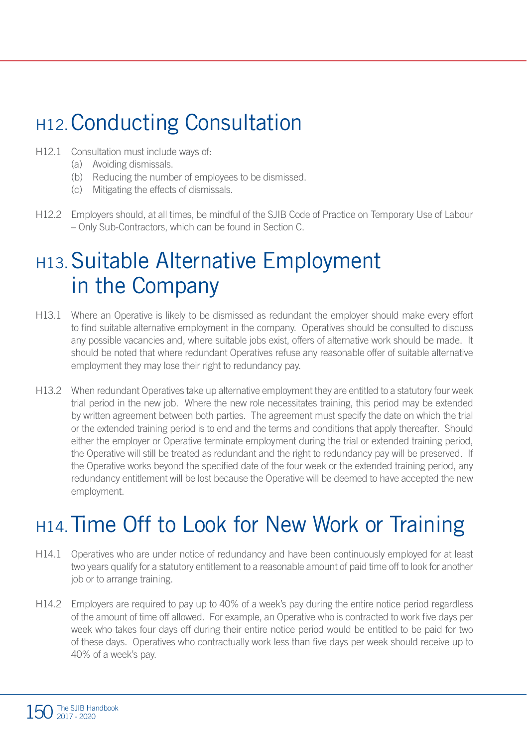### H12.Conducting Consultation

- H12.1 Consultation must include ways of:
	- (a) Avoiding dismissals.
	- (b) Reducing the number of employees to be dismissed.
	- (c) Mitigating the effects of dismissals.
- H12.2 Employers should, at all times, be mindful of the SJIB Code of Practice on Temporary Use of Labour – Only Sub-Contractors, which can be found in Section C.

### H13.Suitable Alternative Employment in the Company

- H13.1 Where an Operative is likely to be dismissed as redundant the employer should make every effort to find suitable alternative employment in the company. Operatives should be consulted to discuss any possible vacancies and, where suitable jobs exist, offers of alternative work should be made. It should be noted that where redundant Operatives refuse any reasonable offer of suitable alternative employment they may lose their right to redundancy pay.
- H13.2 When redundant Operatives take up alternative employment they are entitled to a statutory four week trial period in the new job. Where the new role necessitates training, this period may be extended by written agreement between both parties. The agreement must specify the date on which the trial or the extended training period is to end and the terms and conditions that apply thereafter. Should either the employer or Operative terminate employment during the trial or extended training period, the Operative will still be treated as redundant and the right to redundancy pay will be preserved. If the Operative works beyond the specified date of the four week or the extended training period, any redundancy entitlement will be lost because the Operative will be deemed to have accepted the new employment.

### H14.Time Off to Look for New Work or Training

- H14.1 Operatives who are under notice of redundancy and have been continuously employed for at least two years qualify for a statutory entitlement to a reasonable amount of paid time off to look for another job or to arrange training.
- H14.2 Employers are required to pay up to 40% of a week's pay during the entire notice period regardless of the amount of time off allowed. For example, an Operative who is contracted to work five days per week who takes four days off during their entire notice period would be entitled to be paid for two of these days. Operatives who contractually work less than five days per week should receive up to 40% of a week's pay.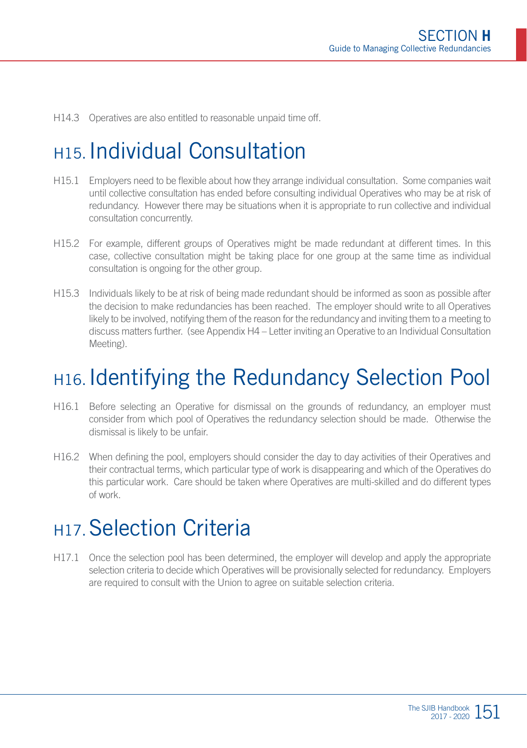H14.3 Operatives are also entitled to reasonable unpaid time off.

### H15.Individual Consultation

- H15.1 Employers need to be flexible about how they arrange individual consultation. Some companies wait until collective consultation has ended before consulting individual Operatives who may be at risk of redundancy. However there may be situations when it is appropriate to run collective and individual consultation concurrently.
- H15.2 For example, different groups of Operatives might be made redundant at different times. In this case, collective consultation might be taking place for one group at the same time as individual consultation is ongoing for the other group.
- H15.3 Individuals likely to be at risk of being made redundant should be informed as soon as possible after the decision to make redundancies has been reached. The employer should write to all Operatives likely to be involved, notifying them of the reason for the redundancy and inviting them to a meeting to discuss matters further. (see Appendix H4 – Letter inviting an Operative to an Individual Consultation Meeting).

### H16.Identifying the Redundancy Selection Pool

- H16.1 Before selecting an Operative for dismissal on the grounds of redundancy, an employer must consider from which pool of Operatives the redundancy selection should be made. Otherwise the dismissal is likely to be unfair.
- H16.2 When defining the pool, employers should consider the day to day activities of their Operatives and their contractual terms, which particular type of work is disappearing and which of the Operatives do this particular work. Care should be taken where Operatives are multi-skilled and do different types of work.

#### **H17. Selection Criteria**

H17.1 Once the selection pool has been determined, the employer will develop and apply the appropriate selection criteria to decide which Operatives will be provisionally selected for redundancy. Employers are required to consult with the Union to agree on suitable selection criteria.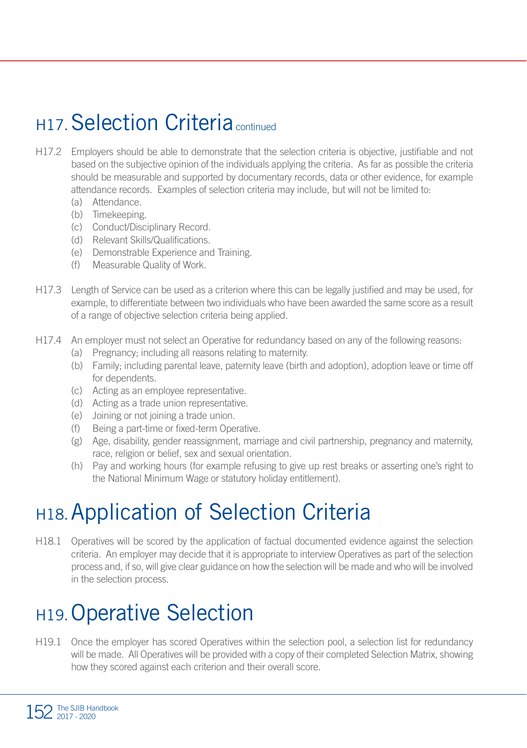### H17. Selection Criteria continued

- H17.2 Employers should be able to demonstrate that the selection criteria is objective, justifiable and not based on the subjective opinion of the individuals applying the criteria. As far as possible the criteria should be measurable and supported by documentary records, data or other evidence, for example attendance records. Examples of selection criteria may include, but will not be limited to:
	- (a) Attendance.
	- (b) Timekeeping.
	- (c) Conduct/Disciplinary Record.
	- (d) Relevant Skills/Qualifications.
	- (e) Demonstrable Experience and Training.
	- (f) Measurable Quality of Work.
- H17.3 Length of Service can be used as a criterion where this can be legally justified and may be used, for example, to differentiate between two individuals who have been awarded the same score as a result of a range of objective selection criteria being applied.
- H17.4 An employer must not select an Operative for redundancy based on any of the following reasons:
	- (a) Pregnancy; including all reasons relating to maternity.
	- (b) Family; including parental leave, paternity leave (birth and adoption), adoption leave or time off for dependents.
	- (c) Acting as an employee representative.
	- (d) Acting as a trade union representative.
	- (e) Joining or not joining a trade union.
	- (f) Being a part-time or fixed-term Operative.
	- (g) Age, disability, gender reassignment, marriage and civil partnership, pregnancy and maternity, race, religion or belief, sex and sexual orientation.
	- (h) Pay and working hours (for example refusing to give up rest breaks or asserting one's right to the National Minimum Wage or statutory holiday entitlement).

### H18.Application of Selection Criteria

H18.1 Operatives will be scored by the application of factual documented evidence against the selection criteria. An employer may decide that it is appropriate to interview Operatives as part of the selection process and, if so, will give clear guidance on how the selection will be made and who will be involved in the selection process.

### H19.Operative Selection

H19.1 Once the employer has scored Operatives within the selection pool, a selection list for redundancy will be made. All Operatives will be provided with a copy of their completed Selection Matrix, showing how they scored against each criterion and their overall score.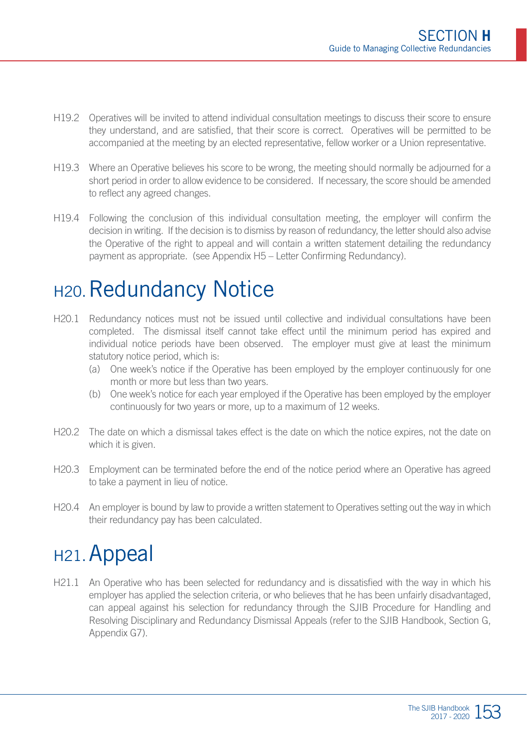- H19.2 Operatives will be invited to attend individual consultation meetings to discuss their score to ensure they understand, and are satisfied, that their score is correct. Operatives will be permitted to be accompanied at the meeting by an elected representative, fellow worker or a Union representative.
- H19.3 Where an Operative believes his score to be wrong, the meeting should normally be adjourned for a short period in order to allow evidence to be considered. If necessary, the score should be amended to reflect any agreed changes.
- H19.4 Following the conclusion of this individual consultation meeting, the employer will confirm the decision in writing. If the decision is to dismiss by reason of redundancy, the letter should also advise the Operative of the right to appeal and will contain a written statement detailing the redundancy payment as appropriate. (see Appendix H5 – Letter Confirming Redundancy).

#### H<sub>20</sub>. Redundancy Notice

- H20.1 Redundancy notices must not be issued until collective and individual consultations have been completed. The dismissal itself cannot take effect until the minimum period has expired and individual notice periods have been observed. The employer must give at least the minimum statutory notice period, which is:
	- (a) One week's notice if the Operative has been employed by the employer continuously for one month or more but less than two years.
	- (b) One week's notice for each year employed if the Operative has been employed by the employer continuously for two years or more, up to a maximum of 12 weeks.
- H20.2 The date on which a dismissal takes effect is the date on which the notice expires, not the date on which it is given
- H20.3 Employment can be terminated before the end of the notice period where an Operative has agreed to take a payment in lieu of notice.
- H20.4 An employer is bound by law to provide a written statement to Operatives setting out the way in which their redundancy pay has been calculated.

### H<sub>21</sub>. Appeal

H21.1 An Operative who has been selected for redundancy and is dissatisfied with the way in which his employer has applied the selection criteria, or who believes that he has been unfairly disadvantaged, can appeal against his selection for redundancy through the SJIB Procedure for Handling and Resolving Disciplinary and Redundancy Dismissal Appeals (refer to the SJIB Handbook, Section G, Appendix G7).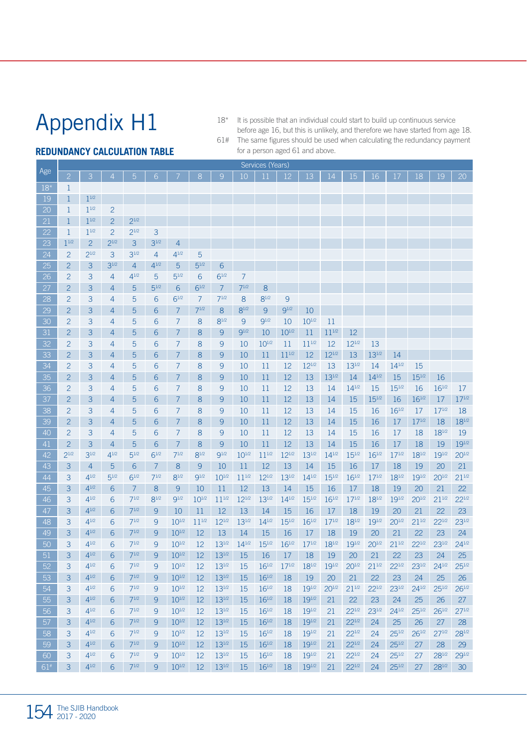18\* It is possible that an individual could start to build up continuous service before age 16, but this is unlikely, and therefore we have started from age 18. 61# The same figures should be used when calculating the redundancy payment for a person aged 61 and above.

#### **REDUNDANCY CALCULATION TABLE**

|          |                          |                        |                          |                   |                |                  |                  |                  |                  | Services (Years) |                  |                  |                  |                  |                  |                  |             |             |                  |
|----------|--------------------------|------------------------|--------------------------|-------------------|----------------|------------------|------------------|------------------|------------------|------------------|------------------|------------------|------------------|------------------|------------------|------------------|-------------|-------------|------------------|
| Age      | $\overline{2}$           | 3 <sup>1</sup>         | 4 <sup>1</sup>           | 5 <sup>1</sup>    | 6              | 7 <sup>7</sup>   | 8                | $\overline{9}$   | 10               | 11               | 12 <sup>°</sup>  | $13 -$           | 14               | 15               | 16               | 17               | 18          | 19          | 20               |
| $18*$    | $\mathbf{1}$             |                        |                          |                   |                |                  |                  |                  |                  |                  |                  |                  |                  |                  |                  |                  |             |             |                  |
| 19       | $\mathbf{1}$             | $1^{1/2}$              |                          |                   |                |                  |                  |                  |                  |                  |                  |                  |                  |                  |                  |                  |             |             |                  |
| 20       | 1                        | 11/2                   | $\overline{2}$           |                   |                |                  |                  |                  |                  |                  |                  |                  |                  |                  |                  |                  |             |             |                  |
| 21       | $\mathbf{1}$             | $1^{1/2}$              | $\overline{2}$           | $2^{1/2}$         |                |                  |                  |                  |                  |                  |                  |                  |                  |                  |                  |                  |             |             |                  |
| 22       | $\mathbf{1}$             | 11/2                   | $\overline{\phantom{a}}$ | $2^{1/2}$         | 3              |                  |                  |                  |                  |                  |                  |                  |                  |                  |                  |                  |             |             |                  |
| 23       | 11/2                     | $\overline{a}$         | $2^{1/2}$                | 3                 | $3^{1/2}$      | $\overline{4}$   |                  |                  |                  |                  |                  |                  |                  |                  |                  |                  |             |             |                  |
| 24       | $\overline{\phantom{a}}$ | $2^{1/2}$              | 3                        | $3^{1/2}$         | $\overline{4}$ | $4^{1/2}$        | 5                |                  |                  |                  |                  |                  |                  |                  |                  |                  |             |             |                  |
| 25       | $\overline{2}$           | 3                      | $3^{1/2}$                | $\overline{4}$    | $4^{1/2}$      | 5                | $5^{1/2}$        | 6                |                  |                  |                  |                  |                  |                  |                  |                  |             |             |                  |
| 26       | $\overline{2}$           | 3                      | 4                        | $4^{1/2}$         | 5              | 51/2             | 6                | $6^{1/2}$        | $\overline{7}$   |                  |                  |                  |                  |                  |                  |                  |             |             |                  |
| 27       | $\overline{a}$           | 3                      | 4                        | 5                 | $5^{1/2}$      | 6                | $6^{1/2}$        | $\overline{7}$   | $7^{1/2}$        | 8                |                  |                  |                  |                  |                  |                  |             |             |                  |
| 28       | $\overline{2}$           | 3                      | 4                        | 5                 | 6              | $6^{1/2}$        | $\overline{7}$   | $7^{1/2}$        | 8                | $8^{1/2}$        | 9                |                  |                  |                  |                  |                  |             |             |                  |
| 29       | $\overline{2}$           | 3                      | 4                        | 5                 | 6              | $\overline{7}$   | $7^{1/2}$        | 8                | $8^{1/2}$        | 9                | <b>91/2</b>      | 10               |                  |                  |                  |                  |             |             |                  |
| 30       | $\overline{2}$           | 3                      | 4                        | 5                 | 6              | $\overline{7}$   | 8                | $8^{1/2}$        | 9                | $Q^{1/2}$        | 10               | $10^{1/2}$       | 11               |                  |                  |                  |             |             |                  |
| 31       | $\overline{2}$           | 3                      | 4                        | 5                 | 6              | $\overline{7}$   | 8                | 9                | $9^{1/2}$        | 10               | $10^{1/2}$       | 11               | $11^{1/2}$       | 12               |                  |                  |             |             |                  |
| 32       | $\overline{2}$           | 3                      | 4                        | 5                 | 6              | $\overline{7}$   | 8                | 9                | 10               | $10^{1/2}$       | 11               | $11^{1/2}$       | 12               | $12^{1/2}$       | 13               |                  |             |             |                  |
| 33       | $\overline{2}$           | 3                      | 4                        | 5                 | 6              | $\overline{7}$   | 8                | 9                | 10               | 11               | $11^{1/2}$       | 12               | $12^{1/2}$       | 13               | 131/2            | 14               |             |             |                  |
| 34       | $\mathfrak{p}$           | 3                      | 4                        | 5                 | 6              | $\overline{7}$   | 8                | 9                | 10               | 11               | 12               | $12^{1/2}$       | 13               | $13^{1/2}$       | 14               | $14^{1/2}$       | 15          |             |                  |
| 35       | $\overline{a}$           | 3                      | 4                        | 5                 | 6              | $\overline{7}$   | 8                | $\mathsf{Q}$     | 10               | 11               | 12               | 13               | $13^{1/2}$       | 14               | $14^{1/2}$       | 15               | $15^{1/2}$  | 16          |                  |
| 36       | $\overline{2}$           | 3                      | 4                        | 5                 | 6              | 7                | 8                | 9                | 10               | 11               | 12               | 13               | 14               | $14^{1/2}$       | 15               | $15^{1/2}$       | 16          | 161/2       | 17               |
| 37       | $\overline{2}$           | 3                      | 4                        | 5                 | 6              | 7                | 8                | 9                | 10               | 11               | 12               | 13               | 14               | 15               | $15^{1/2}$       | 16               | $16^{1/2}$  | 17          | $17^{1/2}$       |
| 38       | $\mathfrak{p}$           | 3                      | 4                        | 5                 | 6              | $\overline{7}$   | 8                | 9                | 10               | 11               | 12               | 13               | 14               | 15               | 16               | $16^{1/2}$       | 17          | $17^{1/2}$  | 18               |
| 39       | $\overline{2}$           | 3                      | 4                        | 5                 | 6              | 7                | 8                | 9                | 10               | 11               | 12               | 13               | 14               | 15               | 16               | 17               | $17^{1/2}$  | 18          | 181/2            |
| 40       | $\overline{2}$           | 3                      | 4                        | 5                 | 6              | $\overline{7}$   | 8                | 9                | 10               | 11               | 12               | 13               | 14               | 15               | 16               | 17               | 18          | 181/2       | 19               |
| 41       | $\overline{2}$           | 3                      | 4                        | 5                 | 6              | $\overline{7}$   | 8                | 9                | 10               | 11               | 12               | 13               | 14               | 15               | 16               | 17               | 18          | 19          | $19^{1/2}$       |
| 42       | $2^{1/2}$                | $3^{1/2}$              | $4^{1/2}$                | 51/2              | $6^{1/2}$      | $7^{1/2}$        | $8^{1/2}$        | 9 <sup>1/2</sup> | $10^{1/2}$       | $11^{1/2}$       | $12^{1/2}$       | $13^{1/2}$       | $14^{1/2}$       | $15^{1/2}$       | 161/2            | $17^{1/2}$       | $18^{1/2}$  | 191/2       | $20^{1/2}$       |
| 43       | 3                        | $\overline{4}$         | 5                        | 6                 | $\overline{7}$ | 8                | 9                | 10               | 11               | 12 <sup>2</sup>  | 13               | 14               | 15               | 16               | 17               | 18               | 19          | 20          | 21               |
| 44       | 3                        | $4^{1/2}$              | $5^{1/2}$                | $6^{1/2}$         | $7^{1/2}$      | $8^{1/2}$        | $9^{1/2}$        | $10^{1/2}$       | $11^{1/2}$       | $12^{1/2}$       | $13^{1/2}$       | $14^{1/2}$       | $15^{1/2}$       | $16^{1/2}$       | $17^{1/2}$       | $18^{1/2}$       | $19^{1/2}$  | $20^{1/2}$  | $21^{1/2}$       |
| 45       | 3                        | $4^{1/2}$              | 6                        | $\overline{7}$    | 8              | 9                | 10               | 11               | 12               | 13               | 14               | 15               | 16               | 17               | 18               | 19               | 20          | 21          | 22               |
| 46       | 3                        | $4^{1/2}$              | 6                        | $7^{1/2}$         | $8^{1/2}$      | <b>91/2</b>      | $10^{1/2}$       | $11^{1/2}$       | $12^{1/2}$       | 131/2            | $14^{1/2}$       | $15^{1/2}$       | $16^{1/2}$       | $17^{1/2}$       | $18^{1/2}$       | 191/2            | $20^{1/2}$  | $21^{1/2}$  | 221/2            |
| 47       | $\overline{\mathbf{3}}$  | $4^{1/2}$<br>$4^{1/2}$ | 6                        | $7^{1/2}$<br>71/2 | 9              | 10<br>$10^{1/2}$ | 11<br>$11^{1/2}$ | 12<br>$12^{1/2}$ | 13<br>$13^{1/2}$ | 14<br>$14^{1/2}$ | 15<br>$15^{1/2}$ | 16<br>$16^{1/2}$ | 17<br>$17^{1/2}$ | 18<br>181/2      | 19<br>$19^{1/2}$ | 20<br>$20^{1/2}$ | 21<br>211/2 | 22<br>221/2 | 23<br>231/2      |
| 48<br>49 | 3<br>3                   | $4^{1/2}$              | 6                        | $7^{1/2}$         | 9              | $10^{1/2}$       | 12               | 13               | 14               | 15               |                  |                  |                  |                  |                  | 21               | 22          | 23          |                  |
|          |                          | $4^{1/2}$              | 6                        | $7^{1/2}$         | 9              | $10^{1/2}$       |                  | $13^{1/2}$       | $14^{1/2}$       | $15^{1/2}$       | 16<br>$16^{1/2}$ | 17<br>$17^{1/2}$ | 18<br>$18^{1/2}$ | 19<br>$19^{1/2}$ | 20<br>$20^{1/2}$ | $21^{1/2}$       | 221/2       | $23^{1/2}$  | 24<br>$24^{1/2}$ |
| 50<br>51 | 3<br>3                   | $4^{1/2}$              | 6<br>6                   | 71/2              | 9<br>9         | $10^{1/2}$       | 12<br>12         | $13^{1/2}$       | 15               | 16               | 17               | 18               | 19               | 20               | 21               | 22               | 23          | 24          | 25               |
| 52       | 3                        | $4^{1/2}$              | 6                        | 71/2              | 9              | $10^{1/2}$       | 12               | $13^{1/2}$       | 15               | $16^{1/2}$       | $17^{1/2}$       | 181/2            | $19^{1/2}$       | $20^{1/2}$       | 211/2            | 221/2            | 231/2       | $24^{1/2}$  | 251/2            |
| 53       | 3                        | $4^{1/2}$              |                          | $7^{1/2}$         | 9              | $10^{1/2}$       | 12               | $13^{1/2}$       | 15               | $16^{1/2}$       | 18               | 19               | 20               | 21               | 22               | 23               | 24          | 25          | 26               |
| 54       | 3                        | $4^{1/2}$              | 6<br>6                   | $7^{1/2}$         | 9              | $10^{1/2}$       | 12               | 131/2            | 15               | $16^{1/2}$       | 18               | 191/2            | $20^{1/2}$       | $21^{1/2}$       | 221/2            | 231/2            | $24^{1/2}$  | $25^{1/2}$  | 261/2            |
| 55       | 3                        | $4^{1/2}$              | 6                        | 71/2              | 9              | $10^{1/2}$       | 12               | $13^{1/2}$       | 15               | $16^{1/2}$       | 18               | 191/2            | 21               | 22               | 23               | 24               | 25          | 26          | 27               |
|          | 3                        | $4^{1/2}$              | 6                        | $7^{1/2}$         | 9              | $10^{1/2}$       | 12               | $13^{1/2}$       | 15               | $16^{1/2}$       | 18               | $19^{1/2}$       | 21               | $22^{1/2}$       | $23^{1/2}$       | $24^{1/2}$       | $25^{1/2}$  | $26^{1/2}$  | $27^{1/2}$       |
| 56<br>57 | 3                        | $4^{1/2}$              | 6                        | $7^{1/2}$         | 9              | $10^{1/2}$       | 12               | $13^{1/2}$       | 15               | $16^{1/2}$       | 18               | 191/2            | 21               | $22^{1/2}$       | 24               | 25               | 26          | 27          | 28               |
| 58       | 3                        | $4^{1/2}$              | 6                        | 71/2              | 9              | $10^{1/2}$       | 12               | $13^{1/2}$       | 15               | $16^{1/2}$       | 18               | 191/2            | 21               | $22^{1/2}$       | 24               | 251/2            | 261/2       | $27^{1/2}$  | 281/2            |
| 59       | 3                        | $4^{1/2}$              | 6                        | $7^{1/2}$         | 9              | $10^{1/2}$       | 12               | $13^{1/2}$       | 15               | $16^{1/2}$       | 18               | $19^{1/2}$       | 21               | $22^{1/2}$       | 24               | $25^{1/2}$       | 27          | 28          | 29               |
| 60       | 3                        | $4^{1/2}$              | 6                        | $7^{1/2}$         | 9              | $10^{1/2}$       | 12               | $13^{1/2}$       | 15               | $16^{1/2}$       | 18               | 191/2            | 21               | 221/2            | 24               | 251/2            | 27          | 281/2       | 291/2            |
| $61*$    | $\overline{3}$           | $4^{1/2}$              | 6                        | $7^{1/2}$         | q              | $10^{1/2}$       | 12               | $13^{1/2}$       | 15               | $16^{1/2}$       | 18               | 191/2            | 21               | 221/2            | 24               | $25^{1/2}$       | 27          | 281/2       | 30               |
|          |                          |                        |                          |                   |                |                  |                  |                  |                  |                  |                  |                  |                  |                  |                  |                  |             |             |                  |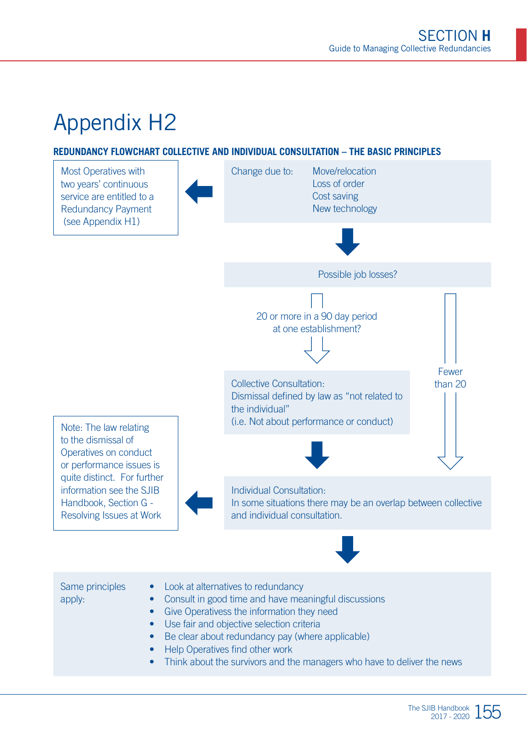#### **REDUNDANCY FLOWCHART COLLECTIVE AND INDIVIDUAL CONSULTATION – THE BASIC PRINCIPLES**



• Think about the survivors and the managers who have to deliver the news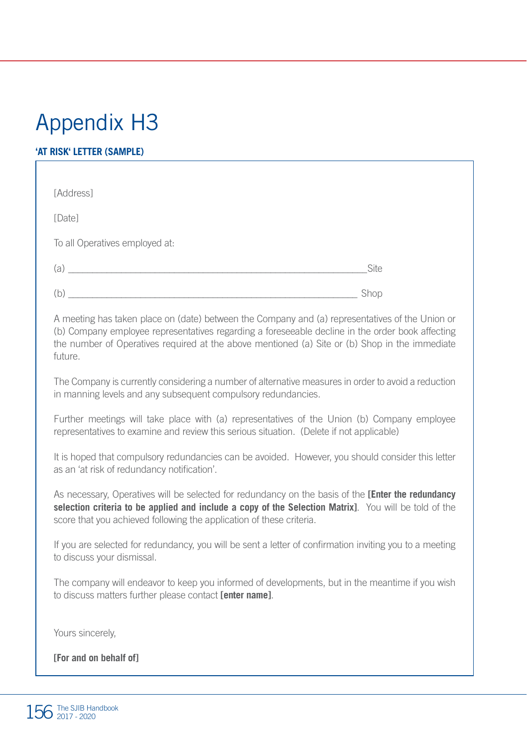#### **'AT RISK' LETTER (SAMPLE)**

| [Address]                                                                         |      |  |
|-----------------------------------------------------------------------------------|------|--|
| [Date]                                                                            |      |  |
| To all Operatives employed at:                                                    |      |  |
| (a)<br>the control of the control of the control of the control of the control of | Site |  |
| b                                                                                 | Shop |  |

A meeting has taken place on (date) between the Company and (a) representatives of the Union or (b) Company employee representatives regarding a foreseeable decline in the order book affecting the number of Operatives required at the above mentioned (a) Site or (b) Shop in the immediate future.

The Company is currently considering a number of alternative measures in order to avoid a reduction in manning levels and any subsequent compulsory redundancies.

Further meetings will take place with (a) representatives of the Union (b) Company employee representatives to examine and review this serious situation. (Delete if not applicable)

It is hoped that compulsory redundancies can be avoided. However, you should consider this letter as an 'at risk of redundancy notification'.

As necessary, Operatives will be selected for redundancy on the basis of the **[Enter the redundancy selection criteria to be applied and include a copy of the Selection Matrix]**. You will be told of the score that you achieved following the application of these criteria.

If you are selected for redundancy, you will be sent a letter of confirmation inviting you to a meeting to discuss your dismissal.

The company will endeavor to keep you informed of developments, but in the meantime if you wish to discuss matters further please contact **[enter name]**.

Yours sincerely,

**[For and on behalf of]**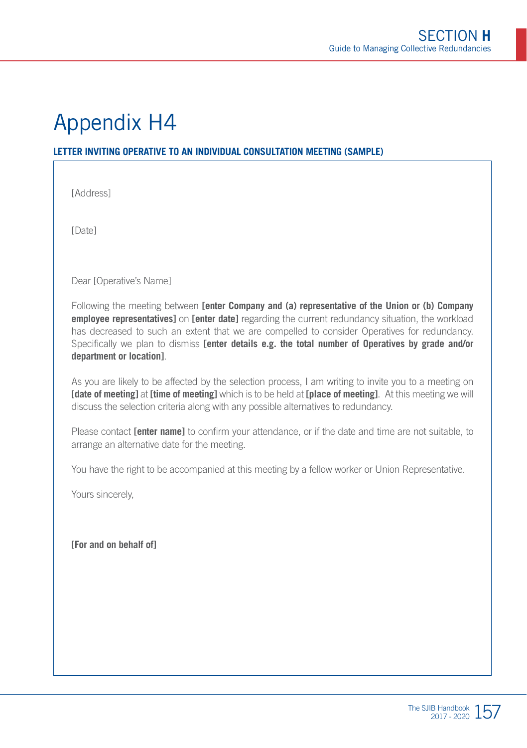#### **LETTER INVITING OPERATIVE TO AN INDIVIDUAL CONSULTATION MEETING (SAMPLE)**

[Address]

[Date]

Dear [Operative's Name]

Following the meeting between **[enter Company and (a) representative of the Union or (b) Company employee representatives]** on **[enter date]** regarding the current redundancy situation, the workload has decreased to such an extent that we are compelled to consider Operatives for redundancy. Specifically we plan to dismiss **[enter details e.g. the total number of Operatives by grade and/or department or location]**.

As you are likely to be affected by the selection process, I am writing to invite you to a meeting on **[date of meeting]** at **[time of meeting]** which is to be held at **[place of meeting]**. At this meeting we will discuss the selection criteria along with any possible alternatives to redundancy.

Please contact **[enter name]** to confirm your attendance, or if the date and time are not suitable, to arrange an alternative date for the meeting.

You have the right to be accompanied at this meeting by a fellow worker or Union Representative.

Yours sincerely,

**[For and on behalf of]**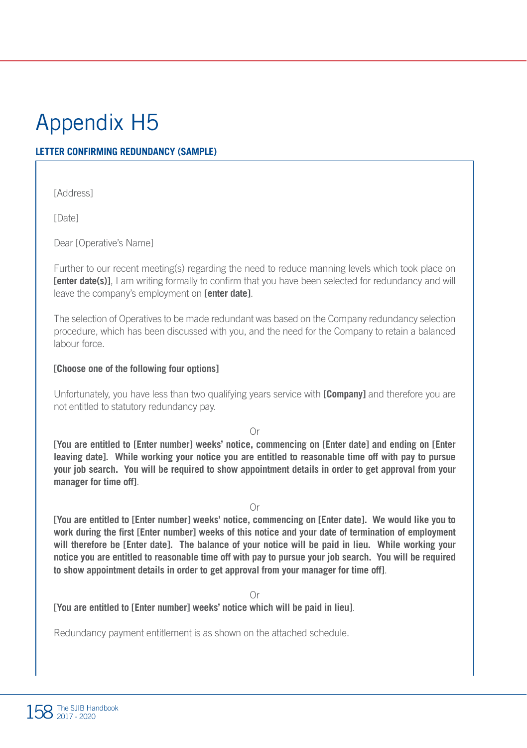#### **LETTER CONFIRMING REDUNDANCY (SAMPLE)**

[Address]

[Date]

Dear [Operative's Name]

Further to our recent meeting(s) regarding the need to reduce manning levels which took place on **[enter date(s)]**, I am writing formally to confirm that you have been selected for redundancy and will leave the company's employment on **[enter date]**.

The selection of Operatives to be made redundant was based on the Company redundancy selection procedure, which has been discussed with you, and the need for the Company to retain a balanced labour force.

#### **[Choose one of the following four options]**

Unfortunately, you have less than two qualifying years service with **[Company]** and therefore you are not entitled to statutory redundancy pay.

Or

**[You are entitled to [Enter number] weeks' notice, commencing on [Enter date] and ending on [Enter leaving date]. While working your notice you are entitled to reasonable time off with pay to pursue your job search. You will be required to show appointment details in order to get approval from your manager for time off]**.

Or

**[You are entitled to [Enter number] weeks' notice, commencing on [Enter date]. We would like you to work during the first [Enter number] weeks of this notice and your date of termination of employment will therefore be [Enter date]. The balance of your notice will be paid in lieu. While working your notice you are entitled to reasonable time off with pay to pursue your job search. You will be required to show appointment details in order to get approval from your manager for time off]**.

Or

**[You are entitled to [Enter number] weeks' notice which will be paid in lieu]**.

Redundancy payment entitlement is as shown on the attached schedule.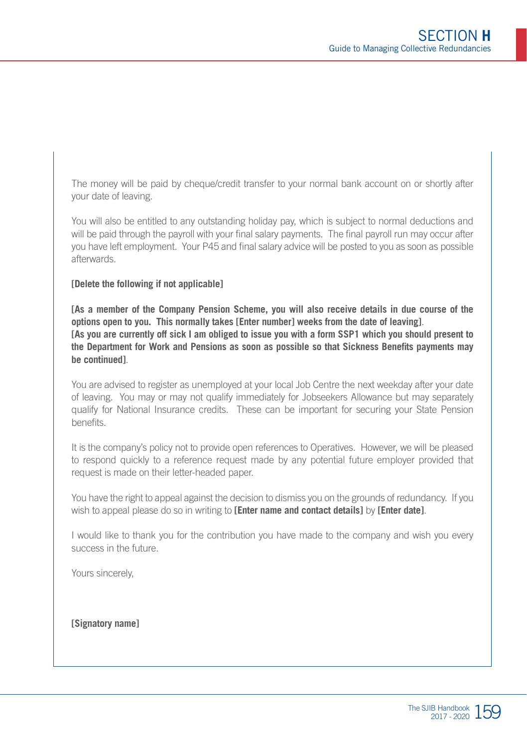The money will be paid by cheque/credit transfer to your normal bank account on or shortly after your date of leaving.

You will also be entitled to any outstanding holiday pay, which is subject to normal deductions and will be paid through the payroll with your final salary payments. The final payroll run may occur after you have left employment. Your P45 and final salary advice will be posted to you as soon as possible afterwards.

#### **[Delete the following if not applicable]**

**[As a member of the Company Pension Scheme, you will also receive details in due course of the options open to you. This normally takes [Enter number] weeks from the date of leaving]**. **[As you are currently off sick I am obliged to issue you with a form SSP1 which you should present to the Department for Work and Pensions as soon as possible so that Sickness Benefits payments may be continued]**.

You are advised to register as unemployed at your local Job Centre the next weekday after your date of leaving. You may or may not qualify immediately for Jobseekers Allowance but may separately qualify for National Insurance credits. These can be important for securing your State Pension benefits.

It is the company's policy not to provide open references to Operatives. However, we will be pleased to respond quickly to a reference request made by any potential future employer provided that request is made on their letter-headed paper.

You have the right to appeal against the decision to dismiss you on the grounds of redundancy. If you wish to appeal please do so in writing to **[Enter name and contact details]** by **[Enter date]**.

I would like to thank you for the contribution you have made to the company and wish you every success in the future.

Yours sincerely,

**[Signatory name]**

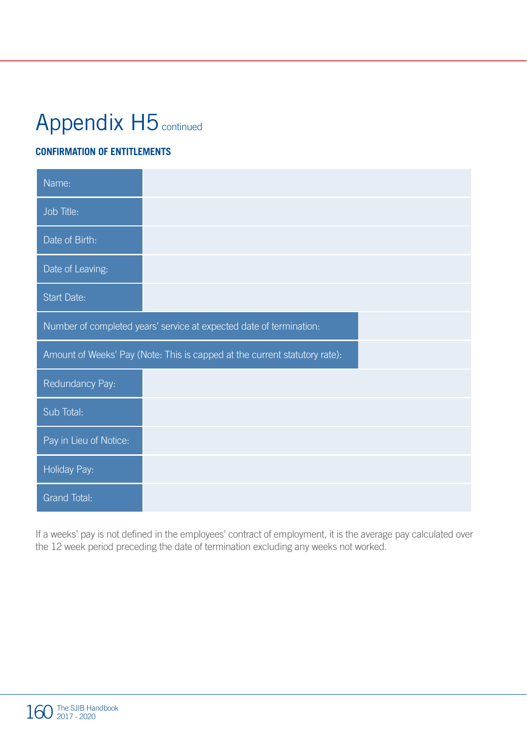# Appendix H5 continued

#### **CONFIRMATION OF ENTITLEMENTS**

| Name:                  |                                                                            |
|------------------------|----------------------------------------------------------------------------|
| Job Title:             |                                                                            |
| Date of Birth:         |                                                                            |
| Date of Leaving:       |                                                                            |
| Start Date:            |                                                                            |
|                        | Number of completed years' service at expected date of termination:        |
|                        | Amount of Weeks' Pay (Note: This is capped at the current statutory rate): |
| Redundancy Pay:        |                                                                            |
| Sub Total:             |                                                                            |
| Pay in Lieu of Notice: |                                                                            |
| Holiday Pay:           |                                                                            |
| Grand Total:           |                                                                            |

If a weeks' pay is not defined in the employees' contract of employment, it is the average pay calculated over the 12 week period preceding the date of termination excluding any weeks not worked.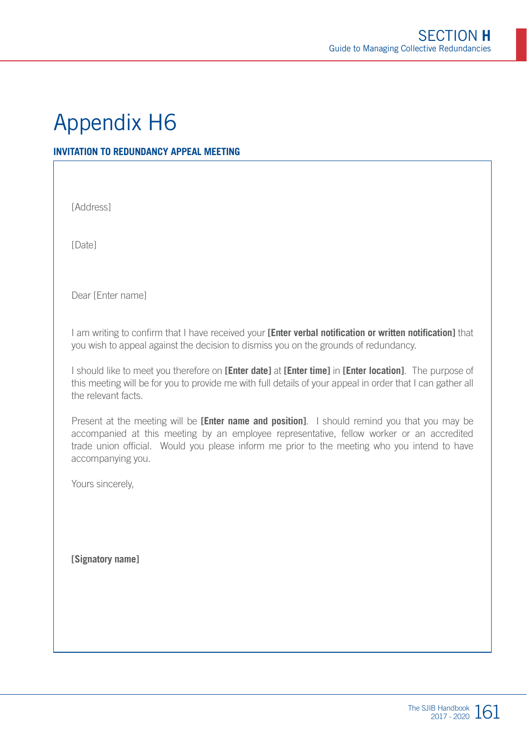#### **INVITATION TO REDUNDANCY APPEAL MEETING**

[Address]

[Date]

Dear [Enter name]

I am writing to confirm that I have received your **[Enter verbal notification or written notification]** that you wish to appeal against the decision to dismiss you on the grounds of redundancy.

I should like to meet you therefore on **[Enter date]** at **[Enter time]** in **[Enter location]**. The purpose of this meeting will be for you to provide me with full details of your appeal in order that I can gather all the relevant facts.

Present at the meeting will be **[Enter name and position]**. I should remind you that you may be accompanied at this meeting by an employee representative, fellow worker or an accredited trade union official. Would you please inform me prior to the meeting who you intend to have accompanying you.

Yours sincerely,

**[Signatory name]**